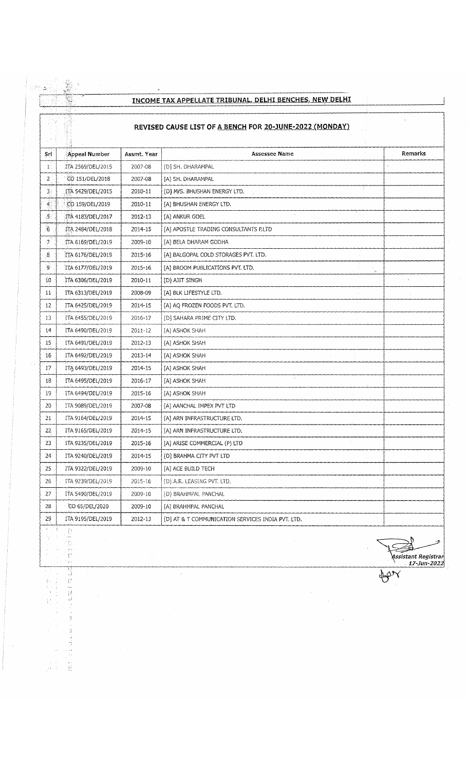## **INCOME TAX APPELLATE TRIBUNAL, DELHI BENCHES, NEW DELHI**

## **REVISED CAUSE LIST OF A BENCH FOR 20-JUNE-2022 (MONDAY)**

|                 |                   |             | REVISED CAUSE LIST OF A BENCH FOR 20-JUNE-2022 (MONDAY) |         |
|-----------------|-------------------|-------------|---------------------------------------------------------|---------|
| Sr              | Appeal Number     | Assmt. Year | <b>Assessee Name</b>                                    | Remarks |
| $\mathbf{E}$    | ITA 2569/DEL/2015 | 2007-08     | [D] SH. DHARAMPAL                                       |         |
| $\mathbf{2}$    | CO 151/DEL/2018   | 2007-08     | [A] SH. DHARAMPAL                                       |         |
| 3)              | ITA 5429/DEL/2015 | 2010-11     | [D] M/S. BHUSHAN ENERGY LTD.                            |         |
| $\overline{4}$  | CO 159/DEL/2019   | 2010-11     | [A] BHUSHAN ENERGY LTD.                                 |         |
| į5.             | TTA 4183/DEL/2017 | 2012-13     | [A] ANKUR GOEL                                          |         |
| 6               | ITA 2484/DEL/2018 | 2014-15     | [A] APOSTLE TRADING CONSULTANTS P.LTD                   |         |
| $\cdot$ 7       | TTA 6169/DEL/2019 | 2009-10     | [A] BELA DHARAM GODHA                                   |         |
| 8.              | ITA 6176/DEL/2019 | 2015-16     | [A] BALGOPAL COLD STORAGES PVT. LTD.                    |         |
| 9               | ITA 6177/DEL/2019 | 2015-16     | [A] BROOM PUBLICATIONS PVT. LTD.<br>$\mathcal{G}$       |         |
| 10              | ITA 6306/DEL/2019 | 2010-11     | [D] AJIT SINGH                                          |         |
| 11              | ITA 6313/DEL/2019 | 2008-09     | [A] BLK LIFESTYLE LTD.                                  |         |
| 12              | ITA 6425/DEL/2019 | 2014-15     | [A] AQ FROZEN FOODS PVT. LTD.                           |         |
| 13              | ITA 6455/DEL/2019 | 2016-17     | [D] SAHARA PRIME CITY LTD.                              |         |
| 14              | ITA 6490/DEL/2019 | 2011-12     | [A] ASHOK SHAH                                          |         |
| 15              | ITA 6491/DEL/2019 | 2012-13     | [A] ASHOK SHAH                                          |         |
| 16              | ITA 6492/DEL/2019 | 2013-14     | [A] ASHOK SHAH                                          |         |
| 17              | ITA 6493/DEL/2019 | 2014-15     | [A] ASHOK SHAH                                          |         |
| 18              | ITA 6495/DEL/2019 | 2016-17     | [A] ASHOK SHAH                                          |         |
| 19              | ITA 6494/DEL/2019 | 2015-16     | [A] ASHOK SHAH                                          |         |
| 20              | ITA 9089/DEL/2019 | 2007-08     | [A] AANCHAL IMPEX PVT LTD                               |         |
| 21              | ITA 9164/DEL/2019 | 2014-15     | [A] ARN INFRASTRUCTURE LTD.                             |         |
| 22              | ITA 9165/DEL/2019 | 2014-15     | [A] ARN INFRASTRUCTURE LTD.                             |         |
| 23              | ITA 9235/DEL/2019 | 2015-16     | [A] ARISE COMMERCIAL (P) LTD                            |         |
| 24              | ITA 9240/DEL/2019 | 2014-15     | [D] BRAHMA CITY PVT LTD                                 |         |
| 25              | ITA 9322/DEL/2019 | 2009-10     | [A] ACE BUILD TECH                                      |         |
| 26 <sup>°</sup> | ITA 9239/DEL/2019 | 2015-16     | [D] A.R. LEASING PVT. LTD.                              |         |
| 27              | ITA 5490/DEL/2019 | 2009-10     | [D] BRAHMPAL PANCHAL                                    |         |
| 28              | CO 65/DEL/2020    | 2009-10     | [A] BRAHMPAL PANCHAL                                    |         |
| 29              | ITA 9195/DEL/2019 | 2012-13     | [D] AT & T COMMUNICATION SERVICES INDIA PVT. LTD.       |         |

 $\mathcal{L}_{\mathcal{A}}$ 

医异性 计分类

 $\bar{z}$  .

**ANGER** 

أرمية

 $\gg$ **;** *Assistant Registrar ' 17-Jun-Z022*

HON

 $\hat{\mathcal{A}}$ 

 $\frac{1}{2}$ 

 $\begin{array}{c} \begin{array}{c} 1 \\ 1 \end{array} & \begin{array}{c} 1 \\ 2 \end{array} \\ \begin{array}{c} 1 \\ 1 \end{array} & \begin{array}{c} 1 \\ 2 \end{array} \\ \end{array}$ i<br>Lid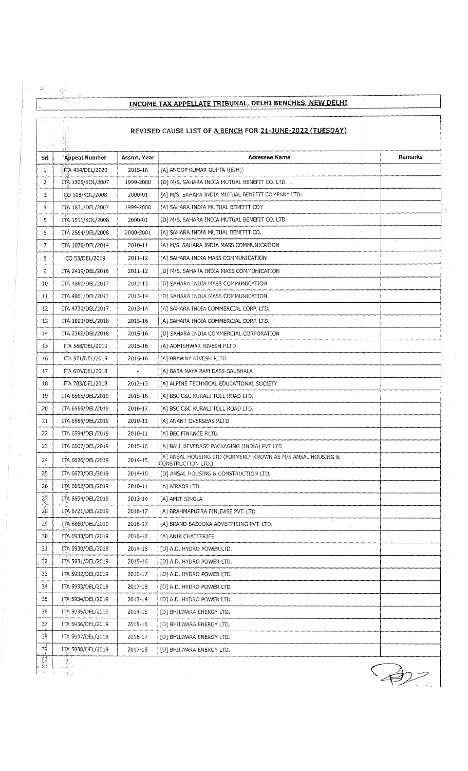|                                                          | یی ۔<br>INCOME TAX APPELLATE TRIBUNAL, DELHI BENCHES, NEW DELHI |             |                                                                                    |         |  |
|----------------------------------------------------------|-----------------------------------------------------------------|-------------|------------------------------------------------------------------------------------|---------|--|
| REVISED CAUSE LIST OF A BENCH FOR 21-JUNE-2022 (TUESDAY) |                                                                 |             |                                                                                    |         |  |
| Srl                                                      | Appeal Number                                                   | Assmt, Year | <b>Assessee Name</b>                                                               | Remarks |  |
| $\mathbf{1}^{\mathbb{C}}$                                | ITA 454/DEL/2020                                                | 2015-16     | [A] ANOOP KUMAR GUPTA ((E/H))                                                      |         |  |
| $\tilde{z}$                                              | ITA 1306/KOL/2007                                               | 1999-2000   | [D] M/S. SAHARA INDIA MUTUAL BENEFIT CO. LTD.                                      |         |  |
| $\overline{3}$                                           | CO 108/KOL/2008                                                 | 2000-01     | [A] M/S. SAHARA INDIA MUTUAL BENEFIT COMPANY LTD.                                  |         |  |
| 4.                                                       | TTA 1831/DEL/2007                                               | 1999-2000   | [A] SAHARA INDIA MUTUAL BENEFIT COY                                                |         |  |
| Ś.                                                       | FTA 1511/KOL/2008                                               | 2000-01     | [D] M/S. SAHARA INDIA MUTUAL BENEFIT CO. LTD.                                      |         |  |
| 6                                                        | ITA 2564/DEL/2008                                               | 2000-2001   | [A] SAHARA INDIA MUTUAL BENEFIT CO.                                                |         |  |
| $7^{\circ}$                                              | ITA 1070/DEL/2014                                               | 2010-11     | [A] M/S. SAHARA INDIA MASS COMMUNICATION                                           |         |  |
| 8                                                        | CO 53/DEL/2019                                                  | 2011-12     | [A] SAHARA INDIA MASS COMMUNICATION                                                |         |  |
| 9                                                        | ITA 2419/DEL/2016                                               | 2011-12     | [D] M/S. SAHARA INDIA MASS COMMUNICATION                                           |         |  |
| 10                                                       | ITA 4860/DEL/2017                                               | 2012-13     | [D] SAHARA INDIA MASS COMMUNICATION                                                |         |  |
| : 11                                                     | ITA 4861/DEL/2017                                               | 2013-14     | [D] SAHARA INDIA MASS COMMUNICATION                                                |         |  |
| 12                                                       | ITA 4730/DEL/2017                                               | 2013-14     | [A] SAHARA INDIA COMMERCIAL CORP. LTD.                                             |         |  |
| 13                                                       | ITA 1893/DEL/2018                                               | 2015-16     | [A] SAHARA INDIA COMMERCIAL CORP. LTD.                                             |         |  |
| 14                                                       | ITA 2369/DEL/2018                                               | 2015-16     | [D] SAHARA INDIA COMMERCIAL CORPORATION                                            |         |  |
| 15                                                       | ITA 568/DEL/2019                                                | 2015-16     | [A] ADHISHWAR NIVESH P.LTD                                                         |         |  |
| 16                                                       | ITA 571/DEL/2019                                                | 2015-16     | [A] BRAWNY NIVESH P.LTD                                                            |         |  |
| 17                                                       | ITA 676/DEL/2018                                                |             | [A] BABA NAYA RAM DASS GAUSHALA                                                    |         |  |
| 18                                                       | ITA 783/DEL/2018                                                | 2012-13     | [A] ALPINE TECHNICAL EDUCATIONAL SOCIETY                                           |         |  |
| 19                                                       | ITA 6565/DEL/2019                                               | 2015-16     | [A] BSC C&C KURALI TOLL ROAD LTD.                                                  |         |  |
| 20                                                       | ITA 6566/DEL/2019                                               | 2016-17     | [A] BSC C&C KURALI TOLL ROAD LTD.                                                  |         |  |
| 21                                                       | ITA 6585/DEL/2019                                               | 2010-11     | [A] ANANT OVERSEAS P.LTD                                                           |         |  |
| 22                                                       | ITA 6594/DEL/2019                                               | 2010-11     | [A] BEC FINANCE P.LTD                                                              |         |  |
| 23                                                       | ITA 6607/DEL/2019                                               | 2015-16     | [A] BALL BEVERAGE PACKAGING (INDIA) PVT LTD                                        |         |  |
| 24                                                       | ITA 6626/DEL/2019                                               | 2014-15     | [A] ANSAL HOUSING LTD (FORMERLY KNOWN AS M/S ANSAL HOUSING &<br>CONSTRUCTION LTD.) |         |  |
| 25                                                       | ITA 6673/DEL/2019                                               | 2014-15     | [D] ANSAL HOUSING & CONSTRUCTION LTD.                                              |         |  |
| 26                                                       | ITA 6652/DEL/2019                                               | 2010-11     | [A] AIRADS LTD.                                                                    |         |  |
| $\frac{1}{27}$                                           | ITA 6694/DEL/2019                                               | 2013-14     | [A] AMIT SINGLA                                                                    |         |  |
| $\overline{28}$                                          | ITA 6721/DEL/2019                                               | 2016-17     | [A] BRAHMAPUTRA FINLEASE PVT. LTD.                                                 |         |  |
| 29                                                       | ITA 6860/DEL/2019                                               | 2016-17     | [A] BRAND BAZOOKA ADVERTISING PVT. LTD.                                            |         |  |
| 30                                                       | ITA 6933/DEL/2019                                               | 2016-17     | [A] ANIK CHATTERJEE                                                                |         |  |
| 31                                                       | ITA 5930/DEL/2019                                               | 2014-15     | [D] A.D. HYDRO POWER LTD.                                                          |         |  |
| $32\,$                                                   | ITA 5931/DEL/2019                                               | 2015-16     | [D] A.D. HYDRO POWER LTD.                                                          |         |  |
| 33                                                       | ITA 5932/DEL/2019                                               | 2016-17     | [D] A.D. HYDRO POWER LTD.                                                          |         |  |
| 34                                                       | ITA 5933/DEL/2019                                               | 2017-18     | [D] A.D. HYDRO POWER LTD.                                                          |         |  |
| 35                                                       | ITA 5934/DEL/2019                                               | 2013-14     | [D] A.D. HYDRO POWER LTD.                                                          |         |  |
| 36                                                       | ITA 5935/DEL/2019                                               | 2014-15     | [D] BHILWARA ENERGY LTD.                                                           |         |  |
| 37                                                       | ITA 5936/DEL/2019                                               | 2015-16     | [D] BHILWARA ENERGY LTD.                                                           |         |  |
| 38                                                       | ITA 5937/DEL/2019                                               | 2016-17     | [D] BHILWARA ENERGY LTD.                                                           |         |  |
| 39                                                       | ITA 5938/DEL/2019                                               | 2017-18     | [D] BHILWARA ENERGY LTD.                                                           |         |  |
| 鼝                                                        | 搅点                                                              |             |                                                                                    |         |  |

 $\bigoplus$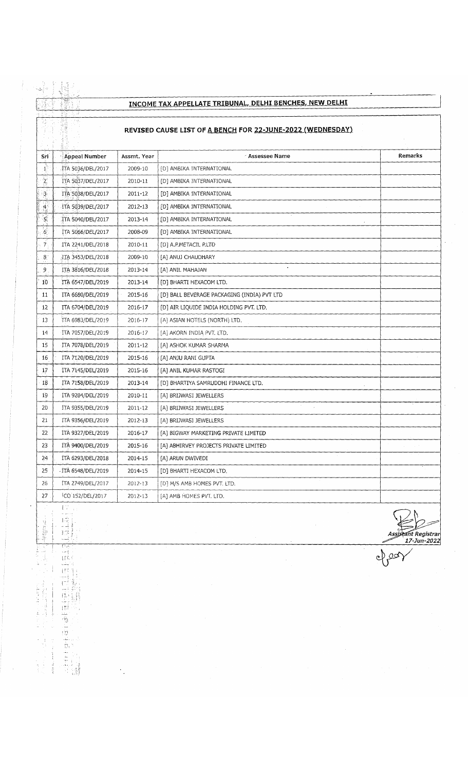# **INCOME TAX APPELLATE TRIBUNAL, DELHI BENCHES, NEW DELHI**

### **REVISED CAUSE LIST OF A BENCH FOR 22-JUNE-2022 (WEDNESDAY)**

|                | 등관<br>酸<br>不明                                              |             |                                             |                     |  |
|----------------|------------------------------------------------------------|-------------|---------------------------------------------|---------------------|--|
|                | REVISED CAUSE LIST OF A BENCH FOR 22-JUNE-2022 (WEDNESDAY) |             |                                             |                     |  |
|                |                                                            |             |                                             |                     |  |
| Srl            | <b>Appeal Number</b>                                       | Assmt. Year | <sup>2</sup> Assessee Name                  | Remarks             |  |
| $\mathbf{1}$   | ITA 5036/DEL/2017                                          | 2009-10     | [D] AMBIKA INTERNATIONAL                    |                     |  |
| $\overline{z}$ | ITA 5037/DEL/2017                                          | 2010-11     | [D] AMBIKA INTERNATIONAL                    |                     |  |
| $\frac{3}{2}$  | ITA 5038/DEL/2017                                          | 2011-12     | [D] AMBIKA INTERNATIONAL                    |                     |  |
| $\frac{4}{24}$ | ITA 5039/DEL/2017                                          | 2012-13     | [D] AMBIKA INTERNATIONAL                    |                     |  |
| $5^{\circ}$    | ITA 5040/DEL/2017                                          | 2013-14     | [D] AMBIKA INTERNATIONAL                    |                     |  |
| 6 <sup>1</sup> | ITA 5066/DEL/2017                                          | 2008-09     | [D] AMBIKA INTERNATIONAL                    |                     |  |
| $\overline{7}$ | ITA 2241/DEL/2018                                          | 2010-11     | [D] A.P.METACIL P.LTD                       |                     |  |
| 8              | ITA 3453/DEL/2018                                          | 2009-10     | [A] ANUJ CHAUDHARY                          |                     |  |
| 9              | ITA 3816/DEL/2018                                          | 2013-14     | [A] ANIL MAHAJAN                            |                     |  |
| 10             | ITA 6547/DEL/2019                                          | 2013-14     | [D] BHARTI HEXACOM LTD.                     |                     |  |
| 11             | ITA 6680/DEL/2019                                          | 2015-16     | [D] BALL BEVERAGE PACKAGING (INDIA) PVT LTD |                     |  |
| 12             | ITA 6704/DEL/2019                                          | 2016-17     | [D] AIR LIQUIDE INDIA HOLDING PVT. LTD.     |                     |  |
| 13             | ITA 6983/DEL/2019                                          | 2016-17     | [A] ASIAN HOTELS (NORTH) LTD.               |                     |  |
| 14             | ITA 7057/DEL/2019                                          | 2016-17     | [A] AKORN INDIA PVT. LTD.                   |                     |  |
| 15             | ITA 7078/DEL/2019                                          | 2011-12     | [A] ASHOK KUMAR SHARMA                      |                     |  |
| 16             | ITA 7120/DEL/2019                                          | 2015-16     | [A] ANJU RANI GUPTA                         |                     |  |
| 17             | ITA 7145/DEL/2019                                          | 2015-16     | [A] ANIL KUMAR RASTOGI                      |                     |  |
| 18             | ITA 7158/DEL/2019                                          | 2013-14     | [D] BHARTIYA SAMRUDDHI FINANCE LTD.         |                     |  |
| 19             | ITA 9284/DEL/2019                                          | 2010-11     | [A] BRIJWASI JEWELLERS                      |                     |  |
| 20             | ITA 9355/DEL/2019                                          | 2011-12     | [A] BRIJWASI JEWELLERS                      |                     |  |
| 21             | ITA 9356/DEL/2019                                          | 2012-13     | [A] BRIJWASI JEWELLERS                      |                     |  |
| 22             | ITA 9327/DEL/2019                                          | 2016-17     | [A] BIGWAY MARKETING PRIVATE LIMITED        |                     |  |
| 23             | ITA 9400/DEL/2019                                          | 2015-16     | [A] ABHIRVEY PROJECTS PRIVATE LIMITED       |                     |  |
| 24             | ITA 6293/DEL/2018                                          | 2014-15     | [A] ARUN DWIVEDI                            |                     |  |
| 25             | - İTA 6548/DEL/2019                                        | 2014-15     | [D] BHARTI HEXACOM LTD.                     |                     |  |
| 26             | ÍTA 2749/DEL/2017                                          | 2012-13     | [D] M/S AMB HOMES PVT. LTD.                 |                     |  |
| 27             | ICO 152/DEL/2017                                           | 2012-13     | [A] AMB HOMES PVT. LTD.                     |                     |  |
|                | 主臣                                                         |             |                                             |                     |  |
| 착              | $\int \frac{d^2x}{2\pi f}$                                 |             |                                             |                     |  |
| (有機性)          | 174                                                        |             |                                             | Assistant Registrar |  |
| $\lesssim 1.2$ | t tek<br>إسا                                               |             | $\sim$                                      | 17-Jun-2022         |  |
|                | 打印列                                                        |             |                                             |                     |  |

■ i I'- :- ;, ; 1 :

> $\tau$   $\pm$  in  $\tau$ ' j I I P

> > ,Ti,

 $\hat{\mathcal{F}}_i$ 

■ ' 7 .L ' ; -

.. <sup>i</sup>

 $\bar{\tau}$